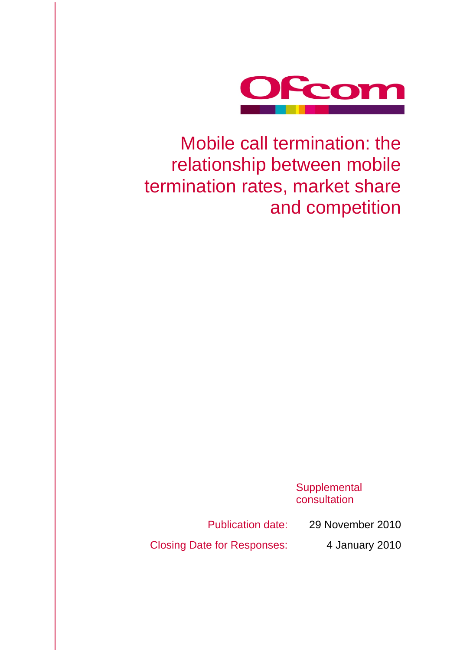

Mobile call termination: the relationship between mobile termination rates, market share and competition

> **Supplemental** consultation

Publication date: 29 November 2010

Closing Date for Responses: 4 January 2010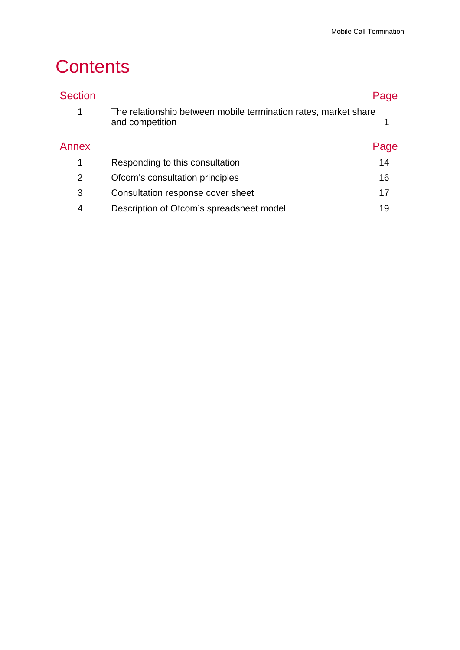# **Contents**

| <b>Section</b> |                                                                                    | Page |
|----------------|------------------------------------------------------------------------------------|------|
| 1              | The relationship between mobile termination rates, market share<br>and competition |      |
| Annex          |                                                                                    | Page |
| $\mathbf{1}$   | Responding to this consultation                                                    | 14   |
| $\overline{2}$ | Ofcom's consultation principles                                                    | 16   |
| 3              | Consultation response cover sheet                                                  | 17   |
| 4              | Description of Ofcom's spreadsheet model                                           | 19   |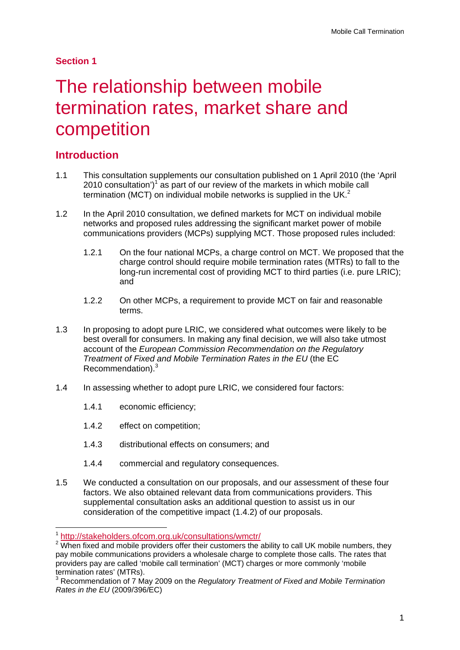### **Section 1**

# The relationship between mobile termination rates, market share and competition

# **Introduction**

- 1.1 This consultation supplements our consultation published on 1 April 2010 (the 'April 2010 consultation') $1$  as part of our review of the markets in which mobile call termination (MCT) on individual mobile networks is supplied in the UK. $<sup>2</sup>$ </sup>
- 1.2 In the April 2010 consultation, we defined markets for MCT on individual mobile networks and proposed rules addressing the significant market power of mobile communications providers (MCPs) supplying MCT. Those proposed rules included:
	- 1.2.1 On the four national MCPs, a charge control on MCT. We proposed that the charge control should require mobile termination rates (MTRs) to fall to the long-run incremental cost of providing MCT to third parties (i.e. pure LRIC); and
	- 1.2.2 On other MCPs, a requirement to provide MCT on fair and reasonable terms.
- 1.3 In proposing to adopt pure LRIC, we considered what outcomes were likely to be best overall for consumers. In making any final decision, we will also take utmost account of the *European Commission Recommendation on the Regulatory Treatment of Fixed and Mobile Termination Rates in the EU* (the EC Recommendation).3
- 1.4 In assessing whether to adopt pure LRIC, we considered four factors:
	- 1.4.1 economic efficiency;
	- 1.4.2 effect on competition;
	- 1.4.3 distributional effects on consumers; and
	- 1.4.4 commercial and regulatory consequences.
- 1.5 We conducted a consultation on our proposals, and our assessment of these four factors. We also obtained relevant data from communications providers. This supplemental consultation asks an additional question to assist us in our consideration of the competitive impact (1.4.2) of our proposals.

 $\overline{a}$ 

<sup>1</sup> http://stakeholders.ofcom.org.uk/consultations/wmctr/ <sup>2</sup>

<sup>&</sup>lt;sup>2</sup> When fixed and mobile providers offer their customers the ability to call UK mobile numbers, they pay mobile communications providers a wholesale charge to complete those calls. The rates that providers pay are called 'mobile call termination' (MCT) charges or more commonly 'mobile termination rates' (MTRs).

<sup>3</sup> Recommendation of 7 May 2009 on the *Regulatory Treatment of Fixed and Mobile Termination Rates in the EU* (2009/396/EC)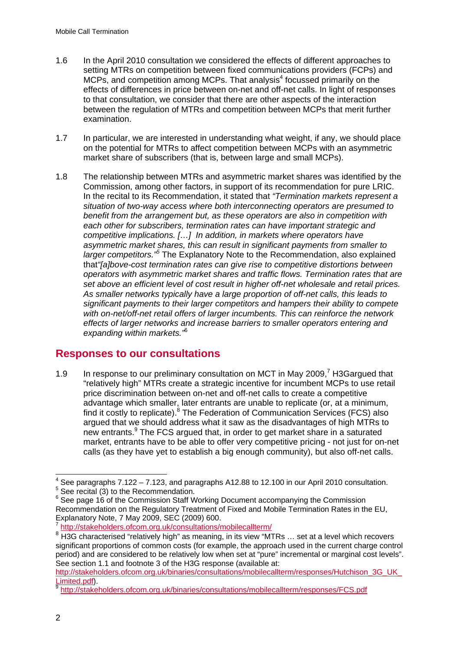- 1.6 In the April 2010 consultation we considered the effects of different approaches to setting MTRs on competition between fixed communications providers (FCPs) and MCPs, and competition among MCPs. That analysis<sup>4</sup> focussed primarily on the effects of differences in price between on-net and off-net calls. In light of responses to that consultation, we consider that there are other aspects of the interaction between the regulation of MTRs and competition between MCPs that merit further examination.
- 1.7 In particular, we are interested in understanding what weight, if any, we should place on the potential for MTRs to affect competition between MCPs with an asymmetric market share of subscribers (that is, between large and small MCPs).
- 1.8 The relationship between MTRs and asymmetric market shares was identified by the Commission, among other factors, in support of its recommendation for pure LRIC. In the recital to its Recommendation, it stated that *"Termination markets represent a situation of two-way access where both interconnecting operators are presumed to benefit from the arrangement but, as these operators are also in competition with each other for subscribers, termination rates can have important strategic and competitive implications. […] In addition, in markets where operators have asymmetric market shares, this can result in significant payments from smaller to*  larger competitors.<sup>"5</sup> The Explanatory Note to the Recommendation, also explained that*"[a]bove-cost termination rates can give rise to competitive distortions between operators with asymmetric market shares and traffic flows. Termination rates that are set above an efficient level of cost result in higher off-net wholesale and retail prices. As smaller networks typically have a large proportion of off-net calls, this leads to significant payments to their larger competitors and hampers their ability to compete with on-net/off-net retail offers of larger incumbents. This can reinforce the network effects of larger networks and increase barriers to smaller operators entering and expanding within markets."*<sup>6</sup>

## **Responses to our consultations**

1.9 In response to our preliminary consultation on MCT in May 2009, $^7$  H3Gargued that "relatively high" MTRs create a strategic incentive for incumbent MCPs to use retail price discrimination between on-net and off-net calls to create a competitive advantage which smaller, later entrants are unable to replicate (or, at a minimum, find it costly to replicate).<sup>8</sup> The Federation of Communication Services (FCS) also argued that we should address what it saw as the disadvantages of high MTRs to new entrants.<sup>9</sup> The FCS argued that, in order to get market share in a saturated market, entrants have to be able to offer very competitive pricing - not just for on-net calls (as they have yet to establish a big enough community), but also off-net calls.

<sup>1</sup>  $4$  See paragraphs 7.122 – 7.123, and paragraphs A12.88 to 12.100 in our April 2010 consultation.

<sup>5</sup> See recital (3) to the Recommendation.

<sup>&</sup>lt;sup>6</sup> See page 16 of the Commission Staff Working Document accompanying the Commission Recommendation on the Regulatory Treatment of Fixed and Mobile Termination Rates in the EU, Explanatory Note, 7 May 2009, SEC (2009) 600.

 $\frac{7}{8}$  http://stakeholders.ofcom.org.uk/consultations/mobilecallterm/<br><sup>8</sup> H3G characterised "relatively high" as meaning, in its view "MTRs ... set at a level which recovers significant proportions of common costs (for example, the approach used in the current charge control period) and are considered to be relatively low when set at "pure" incremental or marginal cost levels". See section 1.1 and footnote 3 of the H3G response (available at:

http://stakeholders.ofcom.org.uk/binaries/consultations/mobilecallterm/responses/Hutchison\_3G\_UK\_ Limited.pdf). <sup>9</sup> http://stakeholders.ofcom.org.uk/binaries/consultations/mobilecallterm/responses/FCS.pdf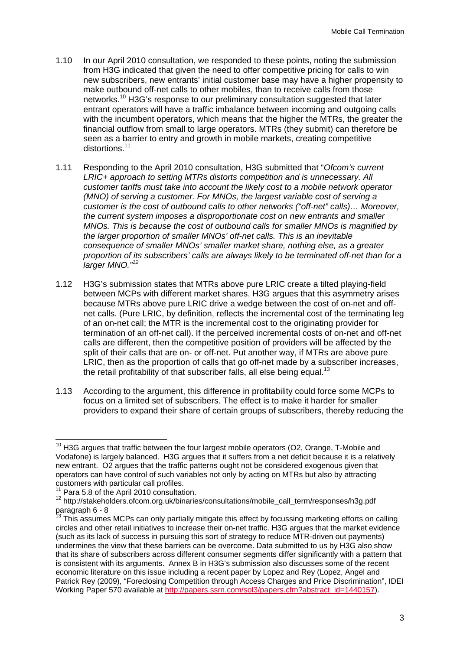- 1.10 In our April 2010 consultation, we responded to these points, noting the submission from H3G indicated that given the need to offer competitive pricing for calls to win new subscribers, new entrants' initial customer base may have a higher propensity to make outbound off-net calls to other mobiles, than to receive calls from those networks.10 H3G's response to our preliminary consultation suggested that later entrant operators will have a traffic imbalance between incoming and outgoing calls with the incumbent operators, which means that the higher the MTRs, the greater the financial outflow from small to large operators. MTRs (they submit) can therefore be seen as a barrier to entry and growth in mobile markets, creating competitive distortions.<sup>11</sup>
- 1.11 Responding to the April 2010 consultation, H3G submitted that "*Ofcom's current LRIC+ approach to setting MTRs distorts competition and is unnecessary. All customer tariffs must take into account the likely cost to a mobile network operator (MNO) of serving a customer. For MNOs, the largest variable cost of serving a customer is the cost of outbound calls to other networks ("off-net" calls)… Moreover, the current system imposes a disproportionate cost on new entrants and smaller MNOs. This is because the cost of outbound calls for smaller MNOs is magnified by the larger proportion of smaller MNOs' off-net calls. This is an inevitable consequence of smaller MNOs' smaller market share, nothing else, as a greater proportion of its subscribers' calls are always likely to be terminated off-net than for a larger MNO."<sup>12</sup>*
- 1.12 H3G's submission states that MTRs above pure LRIC create a tilted playing-field between MCPs with different market shares. H3G argues that this asymmetry arises because MTRs above pure LRIC drive a wedge between the cost of on-net and offnet calls. (Pure LRIC, by definition, reflects the incremental cost of the terminating leg of an on-net call; the MTR is the incremental cost to the originating provider for termination of an off-net call). If the perceived incremental costs of on-net and off-net calls are different, then the competitive position of providers will be affected by the split of their calls that are on- or off-net. Put another way, if MTRs are above pure LRIC, then as the proportion of calls that go off-net made by a subscriber increases, the retail profitability of that subscriber falls, all else being equal.<sup>13</sup>
- 1.13 According to the argument, this difference in profitability could force some MCPs to focus on a limited set of subscribers. The effect is to make it harder for smaller providers to expand their share of certain groups of subscribers, thereby reducing the

<sup>-</sup> $10$  H3G argues that traffic between the four largest mobile operators (O2, Orange, T-Mobile and Vodafone) is largely balanced. H3G argues that it suffers from a net deficit because it is a relatively new entrant. O2 argues that the traffic patterns ought not be considered exogenous given that operators can have control of such variables not only by acting on MTRs but also by attracting customers with particular call profiles.

<sup>&</sup>lt;sup>11</sup> Para 5.8 of the April 2010 consultation.<br><sup>12</sup> http://stakeholders.ofcom.org.uk/binaries/consultations/mobile\_call\_term/responses/h3g.pdf paragraph 6 - 8

<sup>&</sup>lt;sup>13</sup> This assumes MCPs can only partially mitigate this effect by focussing marketing efforts on calling circles and other retail initiatives to increase their on-net traffic. H3G argues that the market evidence (such as its lack of success in pursuing this sort of strategy to reduce MTR-driven out payments) undermines the view that these barriers can be overcome. Data submitted to us by H3G also show that its share of subscribers across different consumer segments differ significantly with a pattern that is consistent with its arguments. Annex B in H3G's submission also discusses some of the recent economic literature on this issue including a recent paper by Lopez and Rey (Lopez, Angel and Patrick Rey (2009), "Foreclosing Competition through Access Charges and Price Discrimination", IDEI Working Paper 570 available at http://papers.ssrn.com/sol3/papers.cfm?abstract\_id=1440157).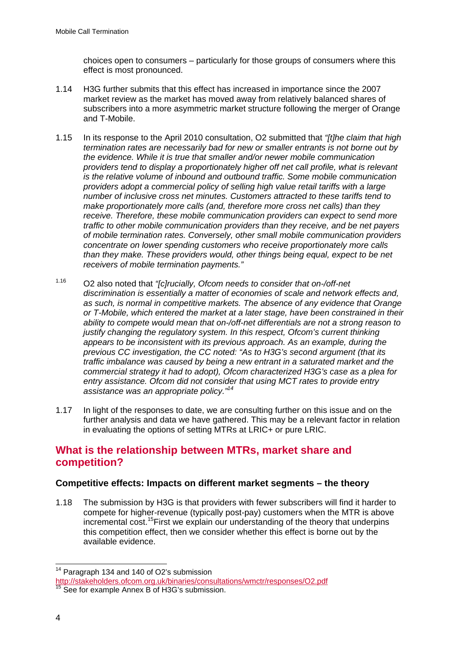choices open to consumers – particularly for those groups of consumers where this effect is most pronounced.

- 1.14 H3G further submits that this effect has increased in importance since the 2007 market review as the market has moved away from relatively balanced shares of subscribers into a more asymmetric market structure following the merger of Orange and T-Mobile.
- 1.15 In its response to the April 2010 consultation, O2 submitted that *"[t]he claim that high termination rates are necessarily bad for new or smaller entrants is not borne out by the evidence. While it is true that smaller and/or newer mobile communication providers tend to display a proportionately higher off net call profile, what is relevant is the relative volume of inbound and outbound traffic. Some mobile communication providers adopt a commercial policy of selling high value retail tariffs with a large number of inclusive cross net minutes. Customers attracted to these tariffs tend to make proportionately more calls (and, therefore more cross net calls) than they receive. Therefore, these mobile communication providers can expect to send more traffic to other mobile communication providers than they receive, and be net payers of mobile termination rates. Conversely, other small mobile communication providers concentrate on lower spending customers who receive proportionately more calls than they make. These providers would, other things being equal, expect to be net receivers of mobile termination payments."*
- 1.16 O2 also noted that *"[c]rucially, Ofcom needs to consider that on-/off-net discrimination is essentially a matter of economies of scale and network effects and, as such, is normal in competitive markets. The absence of any evidence that Orange or T-Mobile, which entered the market at a later stage, have been constrained in their ability to compete would mean that on-/off-net differentials are not a strong reason to justify changing the regulatory system. In this respect, Ofcom's current thinking appears to be inconsistent with its previous approach. As an example, during the previous CC investigation, the CC noted: "As to H3G's second argument (that its traffic imbalance was caused by being a new entrant in a saturated market and the commercial strategy it had to adopt), Ofcom characterized H3G's case as a plea for entry assistance. Ofcom did not consider that using MCT rates to provide entry assistance was an appropriate policy."14*
- 1.17 In light of the responses to date, we are consulting further on this issue and on the further analysis and data we have gathered. This may be a relevant factor in relation in evaluating the options of setting MTRs at LRIC+ or pure LRIC.

## **What is the relationship between MTRs, market share and competition?**

### **Competitive effects: Impacts on different market segments – the theory**

1.18 The submission by H3G is that providers with fewer subscribers will find it harder to compete for higher-revenue (typically post-pay) customers when the MTR is above incremental cost.<sup>15</sup>First we explain our understanding of the theory that underpins this competition effect, then we consider whether this effect is borne out by the available evidence.

1

<sup>&</sup>lt;sup>14</sup> Paragraph 134 and 140 of O2's submission

http://stakeholders.ofcom.org.uk/binaries/consultations/wmctr/responses/O2.pdf<br><sup>15</sup> See for example Annex B of H3G's submission.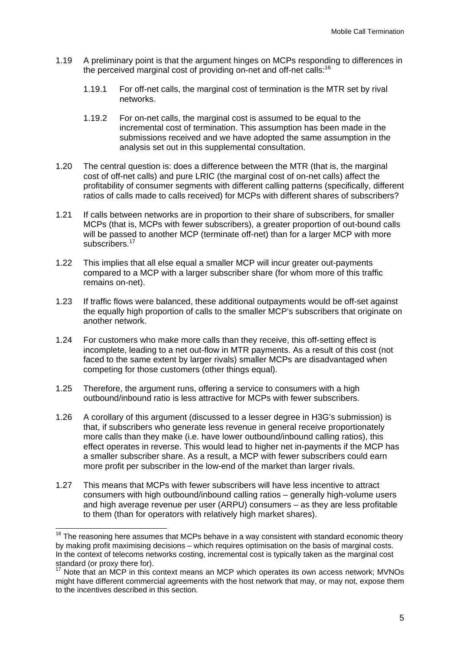- 1.19 A preliminary point is that the argument hinges on MCPs responding to differences in the perceived marginal cost of providing on-net and off-net calls:<sup>16</sup>
	- 1.19.1 For off-net calls, the marginal cost of termination is the MTR set by rival networks.
	- 1.19.2 For on-net calls, the marginal cost is assumed to be equal to the incremental cost of termination. This assumption has been made in the submissions received and we have adopted the same assumption in the analysis set out in this supplemental consultation.
- 1.20 The central question is: does a difference between the MTR (that is, the marginal cost of off-net calls) and pure LRIC (the marginal cost of on-net calls) affect the profitability of consumer segments with different calling patterns (specifically, different ratios of calls made to calls received) for MCPs with different shares of subscribers?
- 1.21 If calls between networks are in proportion to their share of subscribers, for smaller MCPs (that is, MCPs with fewer subscribers), a greater proportion of out-bound calls will be passed to another MCP (terminate off-net) than for a larger MCP with more subscribers.<sup>17</sup>
- 1.22 This implies that all else equal a smaller MCP will incur greater out-payments compared to a MCP with a larger subscriber share (for whom more of this traffic remains on-net).
- 1.23 If traffic flows were balanced, these additional outpayments would be off-set against the equally high proportion of calls to the smaller MCP's subscribers that originate on another network.
- 1.24 For customers who make more calls than they receive, this off-setting effect is incomplete, leading to a net out-flow in MTR payments. As a result of this cost (not faced to the same extent by larger rivals) smaller MCPs are disadvantaged when competing for those customers (other things equal).
- 1.25 Therefore, the argument runs, offering a service to consumers with a high outbound/inbound ratio is less attractive for MCPs with fewer subscribers.
- 1.26 A corollary of this argument (discussed to a lesser degree in H3G's submission) is that, if subscribers who generate less revenue in general receive proportionately more calls than they make (i.e. have lower outbound/inbound calling ratios), this effect operates in reverse. This would lead to higher net in-payments if the MCP has a smaller subscriber share. As a result, a MCP with fewer subscribers could earn more profit per subscriber in the low-end of the market than larger rivals.
- 1.27 This means that MCPs with fewer subscribers will have less incentive to attract consumers with high outbound/inbound calling ratios – generally high-volume users and high average revenue per user (ARPU) consumers – as they are less profitable to them (than for operators with relatively high market shares).

 $\overline{a}$ 

 $16$  The reasoning here assumes that MCPs behave in a way consistent with standard economic theory by making profit maximising decisions – which requires optimisation on the basis of marginal costs. In the context of telecoms networks costing, incremental cost is typically taken as the marginal cost standard (or proxy there for).

<sup>&</sup>lt;sup>17</sup> Note that an MCP in this context means an MCP which operates its own access network: MVNOs might have different commercial agreements with the host network that may, or may not, expose them to the incentives described in this section.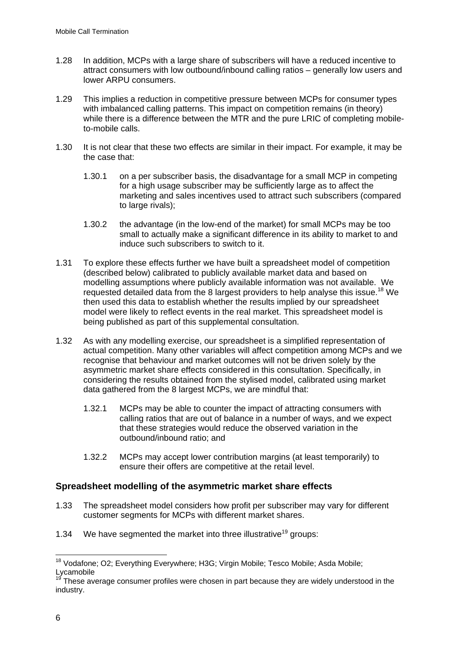- 1.28 In addition, MCPs with a large share of subscribers will have a reduced incentive to attract consumers with low outbound/inbound calling ratios – generally low users and lower ARPU consumers.
- 1.29 This implies a reduction in competitive pressure between MCPs for consumer types with imbalanced calling patterns. This impact on competition remains (in theory) while there is a difference between the MTR and the pure LRIC of completing mobileto-mobile calls.
- 1.30 It is not clear that these two effects are similar in their impact. For example, it may be the case that:
	- 1.30.1 on a per subscriber basis, the disadvantage for a small MCP in competing for a high usage subscriber may be sufficiently large as to affect the marketing and sales incentives used to attract such subscribers (compared to large rivals);
	- 1.30.2 the advantage (in the low-end of the market) for small MCPs may be too small to actually make a significant difference in its ability to market to and induce such subscribers to switch to it.
- 1.31 To explore these effects further we have built a spreadsheet model of competition (described below) calibrated to publicly available market data and based on modelling assumptions where publicly available information was not available. We requested detailed data from the 8 largest providers to help analyse this issue.<sup>18</sup> We then used this data to establish whether the results implied by our spreadsheet model were likely to reflect events in the real market. This spreadsheet model is being published as part of this supplemental consultation.
- 1.32 As with any modelling exercise, our spreadsheet is a simplified representation of actual competition. Many other variables will affect competition among MCPs and we recognise that behaviour and market outcomes will not be driven solely by the asymmetric market share effects considered in this consultation. Specifically, in considering the results obtained from the stylised model, calibrated using market data gathered from the 8 largest MCPs, we are mindful that:
	- 1.32.1 MCPs may be able to counter the impact of attracting consumers with calling ratios that are out of balance in a number of ways, and we expect that these strategies would reduce the observed variation in the outbound/inbound ratio; and
	- 1.32.2 MCPs may accept lower contribution margins (at least temporarily) to ensure their offers are competitive at the retail level.

### **Spreadsheet modelling of the asymmetric market share effects**

- 1.33 The spreadsheet model considers how profit per subscriber may vary for different customer segments for MCPs with different market shares.
- 1.34 We have segmented the market into three illustrative<sup>19</sup> groups:

 $\overline{a}$ <sup>18</sup> Vodafone; O2; Everything Everywhere; H3G; Virgin Mobile; Tesco Mobile; Asda Mobile; Lycamobile

These average consumer profiles were chosen in part because they are widely understood in the industry.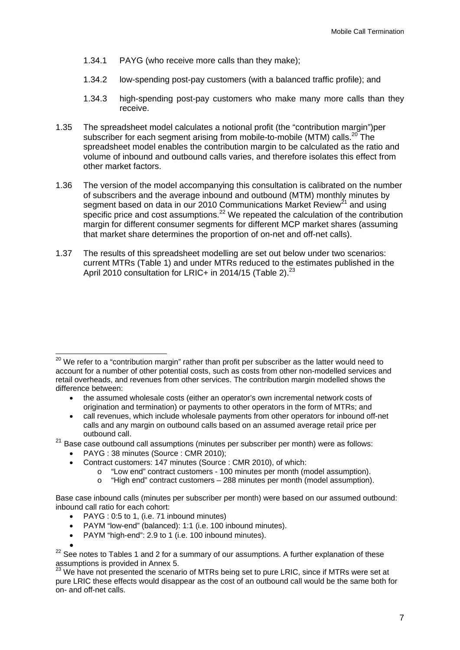- 1.34.1 PAYG (who receive more calls than they make);
- 1.34.2 low-spending post-pay customers (with a balanced traffic profile); and
- 1.34.3 high-spending post-pay customers who make many more calls than they receive.
- 1.35 The spreadsheet model calculates a notional profit (the "contribution margin")per subscriber for each segment arising from mobile-to-mobile (MTM) calls.<sup>20</sup> The spreadsheet model enables the contribution margin to be calculated as the ratio and volume of inbound and outbound calls varies, and therefore isolates this effect from other market factors.
- 1.36 The version of the model accompanying this consultation is calibrated on the number of subscribers and the average inbound and outbound (MTM) monthly minutes by segment based on data in our 2010 Communications Market Review<sup>21</sup> and using specific price and cost assumptions.<sup>22</sup> We repeated the calculation of the contribution margin for different consumer segments for different MCP market shares (assuming that market share determines the proportion of on-net and off-net calls).
- 1.37 The results of this spreadsheet modelling are set out below under two scenarios: current MTRs (Table 1) and under MTRs reduced to the estimates published in the April 2010 consultation for LRIC+ in 2014/15 (Table 2).<sup>23</sup>

 $21$  Base case outbound call assumptions (minutes per subscriber per month) were as follows:

- PAYG : 38 minutes (Source : CMR 2010);
- Contract customers: 147 minutes (Source : CMR 2010), of which:
	- o "Low end" contract customers 100 minutes per month (model assumption).
	- o "High end" contract customers 288 minutes per month (model assumption).

Base case inbound calls (minutes per subscriber per month) were based on our assumed outbound: inbound call ratio for each cohort:

- PAYM "low-end" (balanced): 1:1 (i.e. 100 inbound minutes).
- PAYM "high-end": 2.9 to 1 (i.e. 100 inbound minutes).

<sup>1</sup>  $^{20}$  We refer to a "contribution margin" rather than profit per subscriber as the latter would need to account for a number of other potential costs, such as costs from other non-modelled services and retail overheads, and revenues from other services. The contribution margin modelled shows the difference between:

the assumed wholesale costs (either an operator's own incremental network costs of origination and termination) or payments to other operators in the form of MTRs; and

call revenues, which include wholesale payments from other operators for inbound off-net calls and any margin on outbound calls based on an assumed average retail price per outbound call.

<sup>•</sup> PAYG : 0:5 to 1, (i.e. 71 inbound minutes)

 $22$  See notes to Tables 1 and 2 for a summary of our assumptions. A further explanation of these assumptions is provided in Annex 5.

<sup>&</sup>lt;sup>23</sup> We have not presented the scenario of MTRs being set to pure LRIC, since if MTRs were set at pure LRIC these effects would disappear as the cost of an outbound call would be the same both for on- and off-net calls.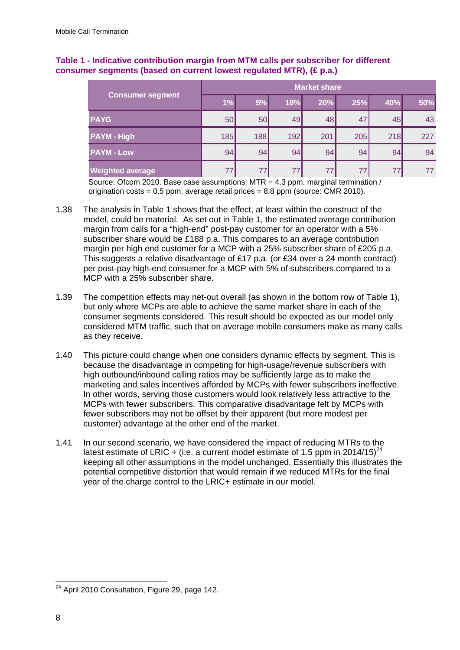|                         |     | <b>Market share</b> |     |     |     |     |     |  |  |  |
|-------------------------|-----|---------------------|-----|-----|-----|-----|-----|--|--|--|
| <b>Consumer segment</b> | 1%  | 5%                  | 10% | 20% | 25% | 40% | 50% |  |  |  |
| <b>PAYG</b>             | 50  | 50                  | 49  | 48  | 47  | 45  | 43  |  |  |  |
| <b>PAYM - High</b>      | 185 | 188                 | 192 | 201 | 205 | 218 | 227 |  |  |  |
| <b>PAYM - Low</b>       | 94  | 94                  | 94  | 94  | 94  | 94  | 94  |  |  |  |
| <b>Weighted average</b> | 77  | 77                  | 77  | 77  |     | 77  | 77  |  |  |  |

### **Table 1 - Indicative contribution margin from MTM calls per subscriber for different consumer segments (based on current lowest regulated MTR), (£ p.a.)**

Source: Ofcom 2010. Base case assumptions: MTR = 4.3 ppm, marginal termination / origination costs =  $0.5$  ppm; average retail prices =  $8.8$  ppm (source: CMR 2010).

- 1.38 The analysis in Table 1 shows that the effect, at least within the construct of the model, could be material. As set out in Table 1, the estimated average contribution margin from calls for a "high-end" post-pay customer for an operator with a 5% subscriber share would be £188 p.a. This compares to an average contribution margin per high end customer for a MCP with a 25% subscriber share of £205 p.a. This suggests a relative disadvantage of £17 p.a. (or £34 over a 24 month contract) per post-pay high-end consumer for a MCP with 5% of subscribers compared to a MCP with a 25% subscriber share.
- 1.39 The competition effects may net-out overall (as shown in the bottom row of Table 1), but only where MCPs are able to achieve the same market share in each of the consumer segments considered. This result should be expected as our model only considered MTM traffic, such that on average mobile consumers make as many calls as they receive.
- 1.40 This picture could change when one considers dynamic effects by segment. This is because the disadvantage in competing for high-usage/revenue subscribers with high outbound/inbound calling ratios may be sufficiently large as to make the marketing and sales incentives afforded by MCPs with fewer subscribers ineffective. In other words, serving those customers would look relatively less attractive to the MCPs with fewer subscribers. This comparative disadvantage felt by MCPs with fewer subscribers may not be offset by their apparent (but more modest per customer) advantage at the other end of the market.
- 1.41 In our second scenario, we have considered the impact of reducing MTRs to the latest estimate of LRIC + (i.e. a current model estimate of 1.5 ppm in 2014/15)<sup>24</sup> keeping all other assumptions in the model unchanged. Essentially this illustrates the potential competitive distortion that would remain if we reduced MTRs for the final year of the charge control to the LRIC+ estimate in our model.

 $\overline{a}$  $24$  April 2010 Consultation, Figure 29, page 142.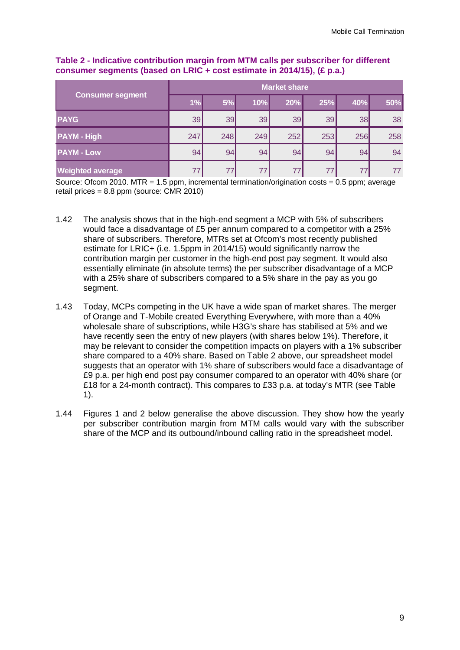|                         |     | <b>Market share</b> |     |     |     |     |     |  |  |
|-------------------------|-----|---------------------|-----|-----|-----|-----|-----|--|--|
| <b>Consumer segment</b> | 1%  | 5%                  | 10% | 20% | 25% | 40% | 50% |  |  |
| <b>PAYG</b>             | 39  | 39                  | 39  | 39  | 39  | 38  | 38  |  |  |
| <b>PAYM - High</b>      | 247 | 248                 | 249 | 252 | 253 | 256 | 258 |  |  |
| <b>PAYM - Low</b>       | 94  | 94                  | 94  | 94  | 94  | 94  | 94  |  |  |
| <b>Weighted average</b> | 77  |                     | 77  | 77  |     | 77  | 77  |  |  |

### **Table 2 - Indicative contribution margin from MTM calls per subscriber for different consumer segments (based on LRIC + cost estimate in 2014/15), (£ p.a.)**

Source: Ofcom 2010. MTR = 1.5 ppm, incremental termination/origination costs = 0.5 ppm; average retail prices =  $8.8$  ppm (source: CMR 2010)

- 1.42 The analysis shows that in the high-end segment a MCP with 5% of subscribers would face a disadvantage of £5 per annum compared to a competitor with a 25% share of subscribers. Therefore, MTRs set at Ofcom's most recently published estimate for LRIC+ (i.e. 1.5ppm in 2014/15) would significantly narrow the contribution margin per customer in the high-end post pay segment. It would also essentially eliminate (in absolute terms) the per subscriber disadvantage of a MCP with a 25% share of subscribers compared to a 5% share in the pay as you go segment.
- 1.43 Today, MCPs competing in the UK have a wide span of market shares. The merger of Orange and T-Mobile created Everything Everywhere, with more than a 40% wholesale share of subscriptions, while H3G's share has stabilised at 5% and we have recently seen the entry of new players (with shares below 1%). Therefore, it may be relevant to consider the competition impacts on players with a 1% subscriber share compared to a 40% share. Based on Table 2 above, our spreadsheet model suggests that an operator with 1% share of subscribers would face a disadvantage of £9 p.a. per high end post pay consumer compared to an operator with 40% share (or £18 for a 24-month contract). This compares to £33 p.a. at today's MTR (see Table 1).
- 1.44 Figures 1 and 2 below generalise the above discussion. They show how the yearly per subscriber contribution margin from MTM calls would vary with the subscriber share of the MCP and its outbound/inbound calling ratio in the spreadsheet model.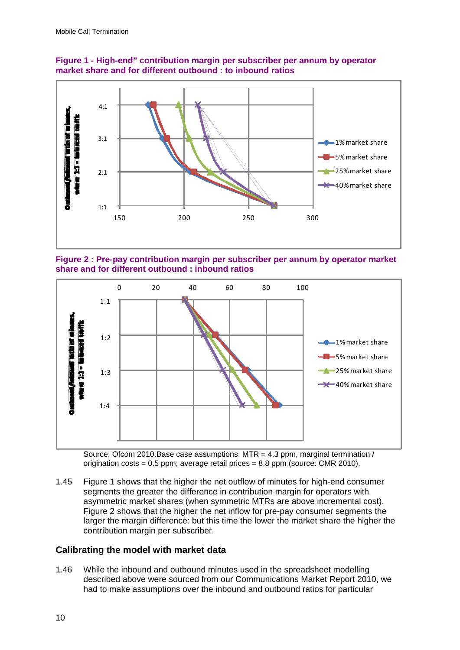

**Figure 1 - High-end" contribution margin per subscriber per annum by operator market share and for different outbound : to inbound ratios** 

**Figure 2 : Pre-pay contribution margin per subscriber per annum by operator market share and for different outbound : inbound ratios** 



Source: Ofcom 2010.Base case assumptions: MTR = 4.3 ppm, marginal termination / origination  $costs = 0.5$  ppm; average retail prices =  $8.8$  ppm (source: CMR 2010).

1.45 Figure 1 shows that the higher the net outflow of minutes for high-end consumer segments the greater the difference in contribution margin for operators with asymmetric market shares (when symmetric MTRs are above incremental cost). Figure 2 shows that the higher the net inflow for pre-pay consumer segments the larger the margin difference: but this time the lower the market share the higher the contribution margin per subscriber.

### **Calibrating the model with market data**

1.46 While the inbound and outbound minutes used in the spreadsheet modelling described above were sourced from our Communications Market Report 2010, we had to make assumptions over the inbound and outbound ratios for particular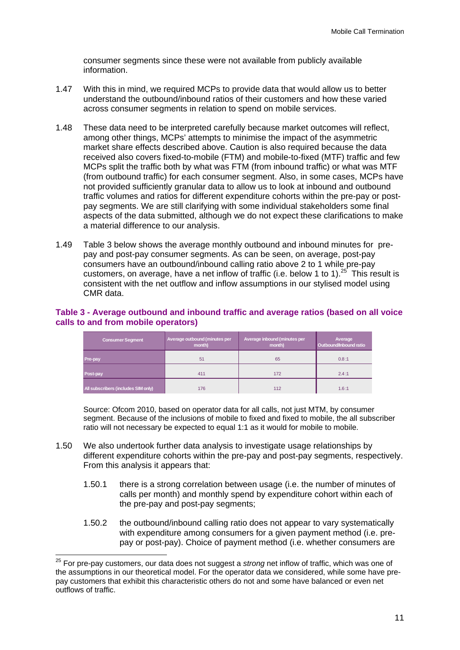consumer segments since these were not available from publicly available information.

- 1.47 With this in mind, we required MCPs to provide data that would allow us to better understand the outbound/inbound ratios of their customers and how these varied across consumer segments in relation to spend on mobile services.
- 1.48 These data need to be interpreted carefully because market outcomes will reflect, among other things, MCPs' attempts to minimise the impact of the asymmetric market share effects described above. Caution is also required because the data received also covers fixed-to-mobile (FTM) and mobile-to-fixed (MTF) traffic and few MCPs split the traffic both by what was FTM (from inbound traffic) or what was MTF (from outbound traffic) for each consumer segment. Also, in some cases, MCPs have not provided sufficiently granular data to allow us to look at inbound and outbound traffic volumes and ratios for different expenditure cohorts within the pre-pay or postpay segments. We are still clarifying with some individual stakeholders some final aspects of the data submitted, although we do not expect these clarifications to make a material difference to our analysis.
- 1.49 Table 3 below shows the average monthly outbound and inbound minutes for prepay and post-pay consumer segments. As can be seen, on average, post-pay consumers have an outbound/inbound calling ratio above 2 to 1 while pre-pay customers, on average, have a net inflow of traffic (i.e. below 1 to 1).<sup>25</sup> This result is consistent with the net outflow and inflow assumptions in our stylised model using CMR data.

#### **Table 3 - Average outbound and inbound traffic and average ratios (based on all voice calls to and from mobile operators)**

| <b>Consumer Segment</b>             | Average outbound (minutes per<br>month) | Average inbound (minutes per<br>month) | Average<br>Outbound/Inbound ratio |  |
|-------------------------------------|-----------------------------------------|----------------------------------------|-----------------------------------|--|
| Pre-pay                             | 51                                      | 65                                     | 0.8:1                             |  |
| Post-pay                            | 411                                     | 172                                    | 2.4:1                             |  |
| All subscribers (includes SIM only) | 176                                     | 112                                    | 1.6:1                             |  |

Source: Ofcom 2010, based on operator data for all calls, not just MTM, by consumer segment. Because of the inclusions of mobile to fixed and fixed to mobile, the all subscriber ratio will not necessary be expected to equal 1:1 as it would for mobile to mobile.

- 1.50 We also undertook further data analysis to investigate usage relationships by different expenditure cohorts within the pre-pay and post-pay segments, respectively. From this analysis it appears that:
	- 1.50.1 there is a strong correlation between usage (i.e. the number of minutes of calls per month) and monthly spend by expenditure cohort within each of the pre-pay and post-pay segments;
	- 1.50.2 the outbound/inbound calling ratio does not appear to vary systematically with expenditure among consumers for a given payment method (i.e. prepay or post-pay). Choice of payment method (i.e. whether consumers are

 $\overline{a}$ 

<sup>25</sup> For pre-pay customers, our data does not suggest a *strong* net inflow of traffic, which was one of the assumptions in our theoretical model. For the operator data we considered, while some have prepay customers that exhibit this characteristic others do not and some have balanced or even net outflows of traffic.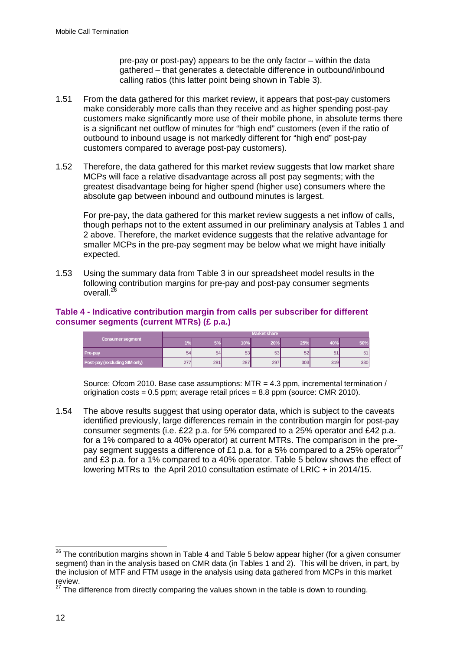pre-pay or post-pay) appears to be the only factor – within the data gathered – that generates a detectable difference in outbound/inbound calling ratios (this latter point being shown in Table 3).

- 1.51 From the data gathered for this market review, it appears that post-pay customers make considerably more calls than they receive and as higher spending post-pay customers make significantly more use of their mobile phone, in absolute terms there is a significant net outflow of minutes for "high end" customers (even if the ratio of outbound to inbound usage is not markedly different for "high end" post-pay customers compared to average post-pay customers).
- 1.52 Therefore, the data gathered for this market review suggests that low market share MCPs will face a relative disadvantage across all post pay segments; with the greatest disadvantage being for higher spend (higher use) consumers where the absolute gap between inbound and outbound minutes is largest.

For pre-pay, the data gathered for this market review suggests a net inflow of calls, though perhaps not to the extent assumed in our preliminary analysis at Tables 1 and 2 above. Therefore, the market evidence suggests that the relative advantage for smaller MCPs in the pre-pay segment may be below what we might have initially expected.

1.53 Using the summary data from Table 3 in our spreadsheet model results in the following contribution margins for pre-pay and post-pay consumer segments overall.<sup>2</sup>

### **Table 4 - Indicative contribution margin from calls per subscriber for different consumer segments (current MTRs) (£ p.a.)**

|                               | <b>Market share</b> |            |     |     |     |     |     |
|-------------------------------|---------------------|------------|-----|-----|-----|-----|-----|
| <b>Consumer segment</b>       | 404                 | $\sqrt{2}$ | 10% | 20% | 25% |     | 50% |
| <b>Pre-pay</b>                | 54                  | 54         | 53  | 53  | 52  |     | 51  |
| Post-pay (excluding SIM only) | 27<br>ے             | 281        | 287 | 297 | 303 | 319 | 330 |

Source: Ofcom 2010. Base case assumptions: MTR = 4.3 ppm, incremental termination / origination costs = 0.5 ppm; average retail prices = 8.8 ppm (source: CMR 2010).

1.54 The above results suggest that using operator data, which is subject to the caveats identified previously, large differences remain in the contribution margin for post-pay consumer segments (i.e. £22 p.a. for 5% compared to a 25% operator and £42 p.a. for a 1% compared to a 40% operator) at current MTRs. The comparison in the prepay segment suggests a difference of £1 p.a. for a 5% compared to a 25% operator<sup>27</sup> and £3 p.a. for a 1% compared to a 40% operator. Table 5 below shows the effect of lowering MTRs to the April 2010 consultation estimate of LRIC + in 2014/15.

<sup>1</sup>  $^{26}$  The contribution margins shown in Table 4 and Table 5 below appear higher (for a given consumer segment) than in the analysis based on CMR data (in Tables 1 and 2). This will be driven, in part, by the inclusion of MTF and FTM usage in the analysis using data gathered from MCPs in this market review.

<sup>&</sup>lt;sup>27</sup> The difference from directly comparing the values shown in the table is down to rounding.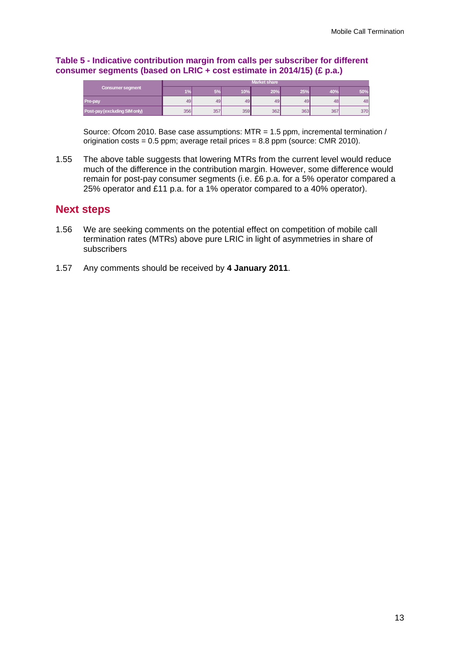#### **Table 5 - Indicative contribution margin from calls per subscriber for different consumer segments (based on LRIC + cost estimate in 2014/15) (£ p.a.)**

|                               | <b>Market share</b> |     |     |     |     |     |     |
|-------------------------------|---------------------|-----|-----|-----|-----|-----|-----|
| Consumer segment              | <b>COM</b>          |     | 10% | 20% | 25% |     | 50% |
| <b>Pre-pay</b>                | 49                  | 49  | 49  | 49  | 49  | 48  | 48  |
| Post-pay (excluding SIM only) | 356                 | 357 | 359 | 362 | 363 | 367 | 370 |

Source: Ofcom 2010. Base case assumptions: MTR = 1.5 ppm, incremental termination / origination costs = 0.5 ppm; average retail prices = 8.8 ppm (source: CMR 2010).

1.55 The above table suggests that lowering MTRs from the current level would reduce much of the difference in the contribution margin. However, some difference would remain for post-pay consumer segments (i.e. £6 p.a. for a 5% operator compared a 25% operator and £11 p.a. for a 1% operator compared to a 40% operator).

## **Next steps**

- 1.56 We are seeking comments on the potential effect on competition of mobile call termination rates (MTRs) above pure LRIC in light of asymmetries in share of subscribers
- 1.57 Any comments should be received by **4 January 2011**.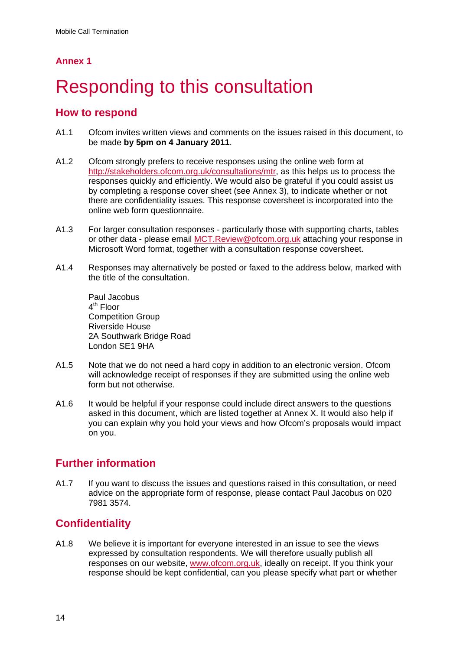## **Annex 1**

# **Responding to this consultation**

## **How to respond**

- A1.1 Ofcom invites written views and comments on the issues raised in this document, to be made **by 5pm on 4 January 2011**.
- A1.2 Ofcom strongly prefers to receive responses using the online web form at http://stakeholders.ofcom.org.uk/consultations/mtr, as this helps us to process the responses quickly and efficiently. We would also be grateful if you could assist us by completing a response cover sheet (see Annex 3), to indicate whether or not there are confidentiality issues. This response coversheet is incorporated into the online web form questionnaire.
- A1.3 For larger consultation responses particularly those with supporting charts, tables or other data - please email MCT.Review@ofcom.org.uk attaching your response in Microsoft Word format, together with a consultation response coversheet.
- A1.4 Responses may alternatively be posted or faxed to the address below, marked with the title of the consultation.

Paul Jacobus  $4<sup>th</sup>$  Floor Competition Group Riverside House 2A Southwark Bridge Road London SE1 9HA

- A1.5 Note that we do not need a hard copy in addition to an electronic version. Ofcom will acknowledge receipt of responses if they are submitted using the online web form but not otherwise.
- A1.6 It would be helpful if your response could include direct answers to the questions asked in this document, which are listed together at Annex X. It would also help if you can explain why you hold your views and how Ofcom's proposals would impact on you.

# **Further information**

A1.7 If you want to discuss the issues and questions raised in this consultation, or need advice on the appropriate form of response, please contact Paul Jacobus on 020 7981 3574.

# **Confidentiality**

A1.8 We believe it is important for everyone interested in an issue to see the views expressed by consultation respondents. We will therefore usually publish all responses on our website, www.ofcom.org.uk, ideally on receipt. If you think your response should be kept confidential, can you please specify what part or whether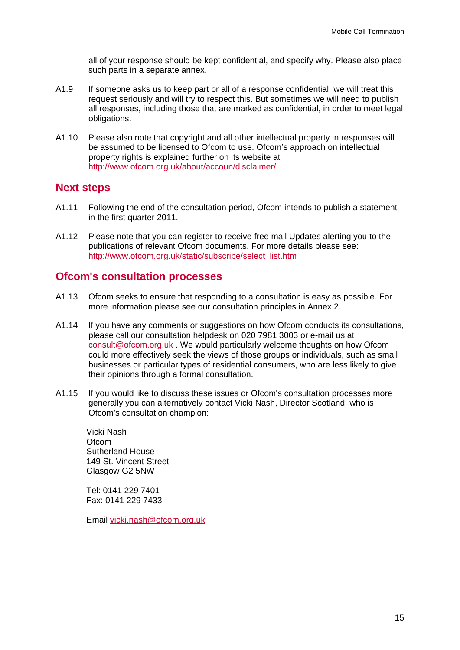all of your response should be kept confidential, and specify why. Please also place such parts in a separate annex.

- A1.9 If someone asks us to keep part or all of a response confidential, we will treat this request seriously and will try to respect this. But sometimes we will need to publish all responses, including those that are marked as confidential, in order to meet legal obligations.
- A1.10 Please also note that copyright and all other intellectual property in responses will be assumed to be licensed to Ofcom to use. Ofcom's approach on intellectual property rights is explained further on its website at http://www.ofcom.org.uk/about/accoun/disclaimer/

### **Next steps**

- A1.11 Following the end of the consultation period, Ofcom intends to publish a statement in the first quarter 2011.
- A1.12 Please note that you can register to receive free mail Updates alerting you to the publications of relevant Ofcom documents. For more details please see: http://www.ofcom.org.uk/static/subscribe/select\_list.htm

### **Ofcom's consultation processes**

- A1.13 Ofcom seeks to ensure that responding to a consultation is easy as possible. For more information please see our consultation principles in Annex 2.
- A1.14 If you have any comments or suggestions on how Ofcom conducts its consultations, please call our consultation helpdesk on 020 7981 3003 or e-mail us at consult@ofcom.org.uk . We would particularly welcome thoughts on how Ofcom could more effectively seek the views of those groups or individuals, such as small businesses or particular types of residential consumers, who are less likely to give their opinions through a formal consultation.
- A1.15 If you would like to discuss these issues or Ofcom's consultation processes more generally you can alternatively contact Vicki Nash, Director Scotland, who is Ofcom's consultation champion:

Vicki Nash **Ofcom** Sutherland House 149 St. Vincent Street Glasgow G2 5NW

Tel: 0141 229 7401 Fax: 0141 229 7433

Email vicki.nash@ofcom.org.uk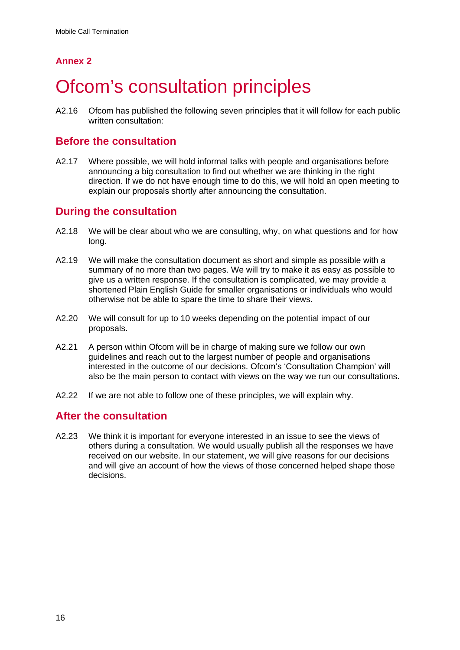# **Annex 2**

# **Ofcom's consultation principles**

A2.16 Ofcom has published the following seven principles that it will follow for each public written consultation:

## **Before the consultation**

A2.17 Where possible, we will hold informal talks with people and organisations before announcing a big consultation to find out whether we are thinking in the right direction. If we do not have enough time to do this, we will hold an open meeting to explain our proposals shortly after announcing the consultation.

## **During the consultation**

- A2.18 We will be clear about who we are consulting, why, on what questions and for how long.
- A2.19 We will make the consultation document as short and simple as possible with a summary of no more than two pages. We will try to make it as easy as possible to give us a written response. If the consultation is complicated, we may provide a shortened Plain English Guide for smaller organisations or individuals who would otherwise not be able to spare the time to share their views.
- A2.20 We will consult for up to 10 weeks depending on the potential impact of our proposals.
- A2.21 A person within Ofcom will be in charge of making sure we follow our own guidelines and reach out to the largest number of people and organisations interested in the outcome of our decisions. Ofcom's 'Consultation Champion' will also be the main person to contact with views on the way we run our consultations.
- A2.22 If we are not able to follow one of these principles, we will explain why.

## **After the consultation**

A2.23 We think it is important for everyone interested in an issue to see the views of others during a consultation. We would usually publish all the responses we have received on our website. In our statement, we will give reasons for our decisions and will give an account of how the views of those concerned helped shape those decisions.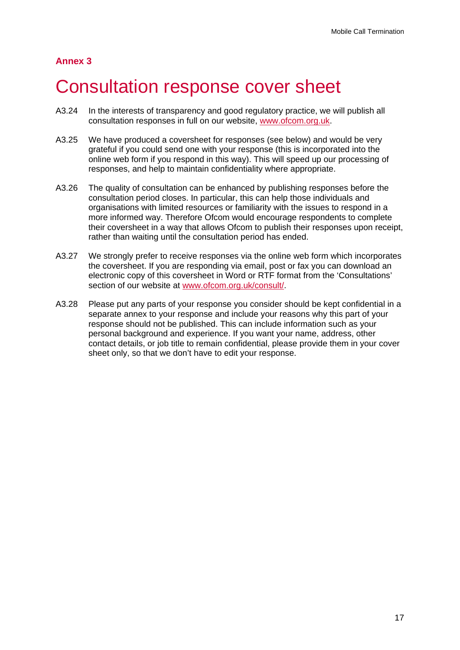## **Annex 3**

# 3 Consultation response cover sheet

- A3.24 In the interests of transparency and good regulatory practice, we will publish all consultation responses in full on our website, www.ofcom.org.uk.
- A3.25 We have produced a coversheet for responses (see below) and would be very grateful if you could send one with your response (this is incorporated into the online web form if you respond in this way). This will speed up our processing of responses, and help to maintain confidentiality where appropriate.
- A3.26 The quality of consultation can be enhanced by publishing responses before the consultation period closes. In particular, this can help those individuals and organisations with limited resources or familiarity with the issues to respond in a more informed way. Therefore Ofcom would encourage respondents to complete their coversheet in a way that allows Ofcom to publish their responses upon receipt, rather than waiting until the consultation period has ended.
- A3.27 We strongly prefer to receive responses via the online web form which incorporates the coversheet. If you are responding via email, post or fax you can download an electronic copy of this coversheet in Word or RTF format from the 'Consultations' section of our website at www.ofcom.org.uk/consult/.
- A3.28 Please put any parts of your response you consider should be kept confidential in a separate annex to your response and include your reasons why this part of your response should not be published. This can include information such as your personal background and experience. If you want your name, address, other contact details, or job title to remain confidential, please provide them in your cover sheet only, so that we don't have to edit your response.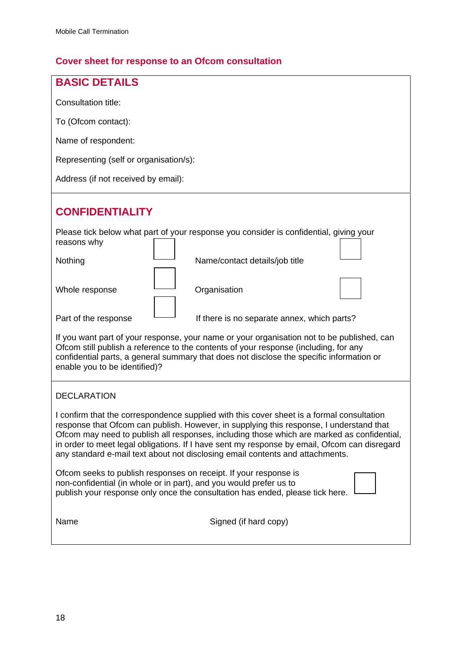# **Cover sheet for response to an Ofcom consultation**

| <b>BASIC DETAILS</b>                                                                                                                                                                                                                                                                                                                                                                                                                                                |  |  |  |  |  |
|---------------------------------------------------------------------------------------------------------------------------------------------------------------------------------------------------------------------------------------------------------------------------------------------------------------------------------------------------------------------------------------------------------------------------------------------------------------------|--|--|--|--|--|
| Consultation title:                                                                                                                                                                                                                                                                                                                                                                                                                                                 |  |  |  |  |  |
| To (Ofcom contact):                                                                                                                                                                                                                                                                                                                                                                                                                                                 |  |  |  |  |  |
| Name of respondent:                                                                                                                                                                                                                                                                                                                                                                                                                                                 |  |  |  |  |  |
| Representing (self or organisation/s):                                                                                                                                                                                                                                                                                                                                                                                                                              |  |  |  |  |  |
| Address (if not received by email):                                                                                                                                                                                                                                                                                                                                                                                                                                 |  |  |  |  |  |
| <b>CONFIDENTIALITY</b>                                                                                                                                                                                                                                                                                                                                                                                                                                              |  |  |  |  |  |
| Please tick below what part of your response you consider is confidential, giving your<br>reasons why                                                                                                                                                                                                                                                                                                                                                               |  |  |  |  |  |
| Nothing<br>Name/contact details/job title                                                                                                                                                                                                                                                                                                                                                                                                                           |  |  |  |  |  |
| Organisation<br>Whole response                                                                                                                                                                                                                                                                                                                                                                                                                                      |  |  |  |  |  |
| Part of the response<br>If there is no separate annex, which parts?                                                                                                                                                                                                                                                                                                                                                                                                 |  |  |  |  |  |
| If you want part of your response, your name or your organisation not to be published, can<br>Ofcom still publish a reference to the contents of your response (including, for any<br>confidential parts, a general summary that does not disclose the specific information or<br>enable you to be identified)?                                                                                                                                                     |  |  |  |  |  |
| <b>DECLARATION</b>                                                                                                                                                                                                                                                                                                                                                                                                                                                  |  |  |  |  |  |
| I confirm that the correspondence supplied with this cover sheet is a formal consultation<br>response that Ofcom can publish. However, in supplying this response, I understand that<br>Ofcom may need to publish all responses, including those which are marked as confidential,<br>in order to meet legal obligations. If I have sent my response by email, Ofcom can disregard<br>any standard e-mail text about not disclosing email contents and attachments. |  |  |  |  |  |
| Ofcom seeks to publish responses on receipt. If your response is<br>non-confidential (in whole or in part), and you would prefer us to<br>publish your response only once the consultation has ended, please tick here.                                                                                                                                                                                                                                             |  |  |  |  |  |
| Name<br>Signed (if hard copy)                                                                                                                                                                                                                                                                                                                                                                                                                                       |  |  |  |  |  |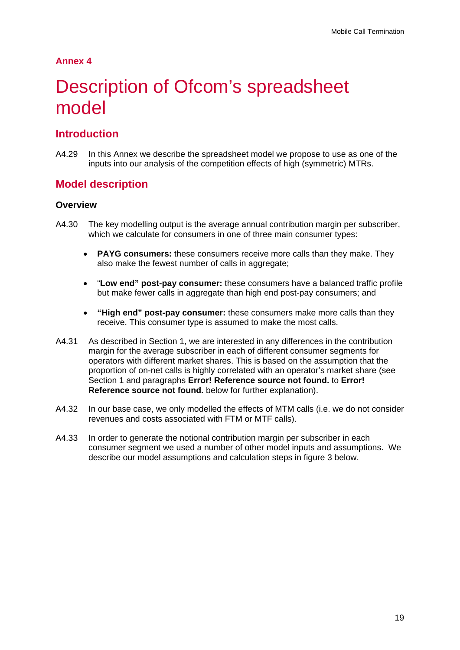### **Annex 4**

# Description of Ofcom's spreadsheet model

## **Introduction**

A4.29 In this Annex we describe the spreadsheet model we propose to use as one of the inputs into our analysis of the competition effects of high (symmetric) MTRs.

### **Model description**

#### **Overview**

- A4.30 The key modelling output is the average annual contribution margin per subscriber, which we calculate for consumers in one of three main consumer types:
	- **PAYG consumers:** these consumers receive more calls than they make. They also make the fewest number of calls in aggregate;
	- "**Low end" post-pay consumer:** these consumers have a balanced traffic profile but make fewer calls in aggregate than high end post-pay consumers; and
	- **"High end" post-pay consumer:** these consumers make more calls than they receive. This consumer type is assumed to make the most calls.
- A4.31 As described in Section 1, we are interested in any differences in the contribution margin for the average subscriber in each of different consumer segments for operators with different market shares. This is based on the assumption that the proportion of on-net calls is highly correlated with an operator's market share (see Section 1 and paragraphs **Error! Reference source not found.** to **Error! Reference source not found.** below for further explanation).
- A4.32 In our base case, we only modelled the effects of MTM calls (i.e. we do not consider revenues and costs associated with FTM or MTF calls).
- A4.33 In order to generate the notional contribution margin per subscriber in each consumer segment we used a number of other model inputs and assumptions. We describe our model assumptions and calculation steps in figure 3 below.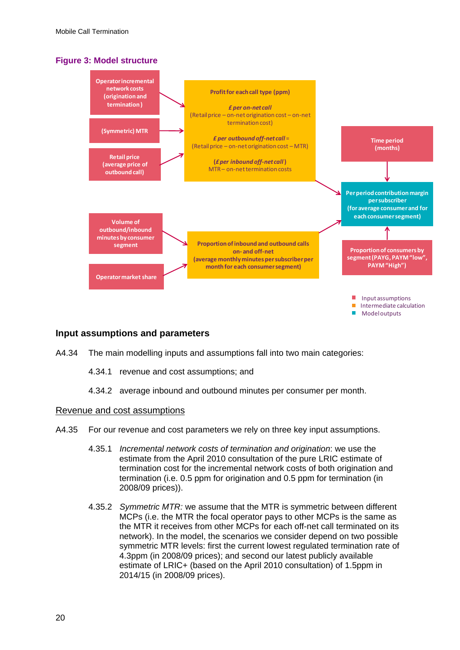### **Figure 3: Model structure**



### **Input assumptions and parameters**

- A4.34 The main modelling inputs and assumptions fall into two main categories:
	- 4.34.1 revenue and cost assumptions; and
	- 4.34.2 average inbound and outbound minutes per consumer per month.

#### Revenue and cost assumptions

- A4.35 For our revenue and cost parameters we rely on three key input assumptions.
	- 4.35.1 *Incremental network costs of termination and origination*: we use the estimate from the April 2010 consultation of the pure LRIC estimate of termination cost for the incremental network costs of both origination and termination (i.e. 0.5 ppm for origination and 0.5 ppm for termination (in 2008/09 prices)).
	- 4.35.2 *Symmetric MTR:* we assume that the MTR is symmetric between different MCPs (i.e. the MTR the focal operator pays to other MCPs is the same as the MTR it receives from other MCPs for each off-net call terminated on its network). In the model, the scenarios we consider depend on two possible symmetric MTR levels: first the current lowest regulated termination rate of 4.3ppm (in 2008/09 prices); and second our latest publicly available estimate of LRIC+ (based on the April 2010 consultation) of 1.5ppm in 2014/15 (in 2008/09 prices).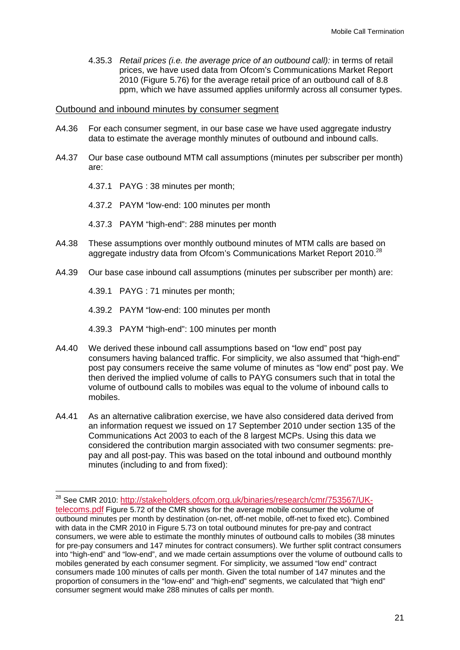4.35.3 *Retail prices (i.e. the average price of an outbound call):* in terms of retail prices, we have used data from Ofcom's Communications Market Report 2010 (Figure 5.76) for the average retail price of an outbound call of 8.8 ppm, which we have assumed applies uniformly across all consumer types.

#### Outbound and inbound minutes by consumer segment

- A4.36 For each consumer segment, in our base case we have used aggregate industry data to estimate the average monthly minutes of outbound and inbound calls.
- A4.37 Our base case outbound MTM call assumptions (minutes per subscriber per month) are:
	- 4.37.1 PAYG : 38 minutes per month;
	- 4.37.2 PAYM "low-end: 100 minutes per month
	- 4.37.3 PAYM "high-end": 288 minutes per month
- A4.38 These assumptions over monthly outbound minutes of MTM calls are based on aggregate industry data from Ofcom's Communications Market Report 2010.<sup>28</sup>
- A4.39 Our base case inbound call assumptions (minutes per subscriber per month) are:

4.39.1 PAYG : 71 minutes per month;

-

4.39.2 PAYM "low-end: 100 minutes per month

- 4.39.3 PAYM "high-end": 100 minutes per month
- A4.40 We derived these inbound call assumptions based on "low end" post pay consumers having balanced traffic. For simplicity, we also assumed that "high-end" post pay consumers receive the same volume of minutes as "low end" post pay. We then derived the implied volume of calls to PAYG consumers such that in total the volume of outbound calls to mobiles was equal to the volume of inbound calls to mobiles.
- A4.41 As an alternative calibration exercise, we have also considered data derived from an information request we issued on 17 September 2010 under section 135 of the Communications Act 2003 to each of the 8 largest MCPs. Using this data we considered the contribution margin associated with two consumer segments: prepay and all post-pay. This was based on the total inbound and outbound monthly minutes (including to and from fixed):

<sup>&</sup>lt;sup>28</sup> See CMR 2010: http://stakeholders.ofcom.org.uk/binaries/research/cmr/753567/UK-

telecoms.pdf Figure 5.72 of the CMR shows for the average mobile consumer the volume of outbound minutes per month by destination (on-net, off-net mobile, off-net to fixed etc). Combined with data in the CMR 2010 in Figure 5.73 on total outbound minutes for pre-pay and contract consumers, we were able to estimate the monthly minutes of outbound calls to mobiles (38 minutes for pre-pay consumers and 147 minutes for contract consumers). We further split contract consumers into "high-end" and "low-end", and we made certain assumptions over the volume of outbound calls to mobiles generated by each consumer segment. For simplicity, we assumed "low end" contract consumers made 100 minutes of calls per month. Given the total number of 147 minutes and the proportion of consumers in the "low-end" and "high-end" segments, we calculated that "high end" consumer segment would make 288 minutes of calls per month.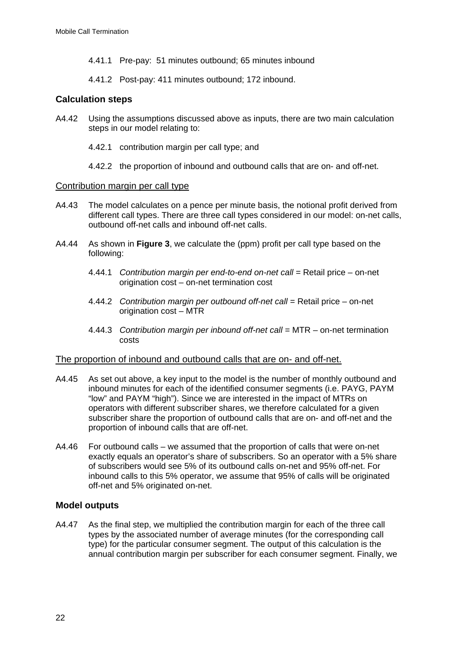- 4.41.1 Pre-pay: 51 minutes outbound; 65 minutes inbound
- 4.41.2 Post-pay: 411 minutes outbound; 172 inbound.

### **Calculation steps**

- A4.42 Using the assumptions discussed above as inputs, there are two main calculation steps in our model relating to:
	- 4.42.1 contribution margin per call type; and
	- 4.42.2 the proportion of inbound and outbound calls that are on- and off-net.

### Contribution margin per call type

- A4.43 The model calculates on a pence per minute basis, the notional profit derived from different call types. There are three call types considered in our model: on-net calls, outbound off-net calls and inbound off-net calls.
- A4.44 As shown in **Figure 3**, we calculate the (ppm) profit per call type based on the following:
	- 4.44.1 *Contribution margin per end-to-end on-net call* = Retail price on-net origination cost – on-net termination cost
	- 4.44.2 *Contribution margin per outbound off-net call* = Retail price on-net origination cost – MTR
	- 4.44.3 Contribution margin per inbound off-net call = MTR on-net termination costs

#### The proportion of inbound and outbound calls that are on- and off-net.

- A4.45 As set out above, a key input to the model is the number of monthly outbound and inbound minutes for each of the identified consumer segments (i.e. PAYG, PAYM "low" and PAYM "high"). Since we are interested in the impact of MTRs on operators with different subscriber shares, we therefore calculated for a given subscriber share the proportion of outbound calls that are on- and off-net and the proportion of inbound calls that are off-net.
- A4.46 For outbound calls we assumed that the proportion of calls that were on-net exactly equals an operator's share of subscribers. So an operator with a 5% share of subscribers would see 5% of its outbound calls on-net and 95% off-net. For inbound calls to this 5% operator, we assume that 95% of calls will be originated off-net and 5% originated on-net.

### **Model outputs**

A4.47 As the final step, we multiplied the contribution margin for each of the three call types by the associated number of average minutes (for the corresponding call type) for the particular consumer segment. The output of this calculation is the annual contribution margin per subscriber for each consumer segment. Finally, we